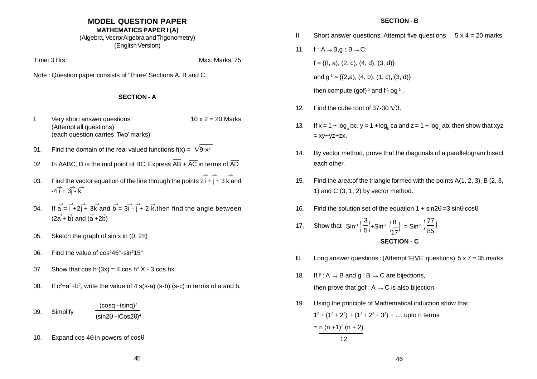# **MODEL QUESTION PAPER**

# **MATHEMATICS PAPER I (A)**

(Algebra, VecrorAlgebra and Trigonometry) (English Version)

Time: 3 Hrs. Max. Marks. 75

Note : Question paper consists of 'Three' Sections A, B and C.

# **SECTION - A**

- I. Very short answer questions  $10 \times 2 = 20$  Marks (Attempt all questions) (each question carries 'Two' marks)
- 01. Find the domain of the real valued functions  $f(x) = \sqrt{9-x^2}$
- 02 In ∆ABC, D is the mid point of BC. Express  $\overline{AB}$  +  $\overline{AC}$  in terms of  $\overline{AD}$
- 03. Find the vector equation of the line through the points  $2 i + j + 3 k$  and  $-4\vec{i} + 3\vec{j} - \vec{k}$  $\rightarrow$   $\rightarrow$   $\rightarrow$
- 04. If  $\overrightarrow{a} = \overrightarrow{i} + 2\overrightarrow{j} + 3\overrightarrow{k}$  and  $\overrightarrow{b} = 3\overrightarrow{i} \overrightarrow{j} + 2\overrightarrow{k}$ , then find the angle between  $(2\overrightarrow{a} + \overrightarrow{b})$  and  $(\overrightarrow{a} + 2\overrightarrow{b})$
- 05. Sketch the graph of sin x in  $(0, 2\pi)$
- 06. Find the value of  $\cos^2 45^\circ \cdot \sin^2 15^\circ$
- 07. Show that cos h  $(3x) = 4 \cos h^3 X 3 \cos h x$ .
- 08. If  $c^2=a^2+b^2$ , write the value of 4 s(s-a) (s-b) (s-c) in terms of a and b.

#### 09. Simplify  $(cosq - isinq)<sup>7</sup>$  $(sin2\theta - iCos2\theta)^4$

10. Expand cos  $4\theta$  in powers of cos $\theta$ 

# **SECTION - B**

- II. Short answer questions. Attempt five questions  $5 \times 4 = 20$  marks
- 11.  $f : A \rightarrow B, g : B \rightarrow C;$  $f = \{(1, a), (2, c), (4, d), (3, d)\}$ and  $q^{-1} = \{(2,a), (4, b), (1, c), (3, d)\}\$ then compute (gof) $<sup>-1</sup>$  and  $f<sup>-1</sup>$  og<sup>-1</sup>.</sup>
- 12. Find the cube root of 37-30  $\sqrt{3}$ .
- 13. If  $x = 1 + \log_b bc$ ,  $y = 1 + \log_b ca$  and  $z = 1 + \log_a ab$ , then show that xyz  $=$   $xy + yz + zx$ .
- 14. By vector method, prove that the diagonals of a parallelogram bisect each other.
- 15. Find the area:of the triangle formed with the points A(1, 2, 3), B (2, 3, 1) and  $C$  (3, 1, 2) by vector method.
- 16. Find the solution set of the equation  $1 + \sin 2\theta = 3 \sin \theta \cos \theta$
- 17. Show that **SECTION - C** 3 5 8 17 Sin<sup>-1</sup>  $\left(\frac{3}{5}\right)$ +Sin<sup>-1</sup>  $\left(\frac{8}{17}\right)$  = Sin<sup>-1</sup>  $\left(\frac{77}{85}\right)$
- III. Long answer questions: (Attempt 'FIVE' questions)  $5 \times 7 = 35$  marks
- 18. If  $f : A \rightarrow B$  and  $g : B \rightarrow C$  are bijections, then prove that gof :  $A \rightarrow C$  is also bijection.
- 19. Using the principle of Mathematical induction show that  $1^2$  +  $(1^2$  +  $2^2)$  +  $(1^2$  +  $2^2$  +  $3^2)$  + .... upto n terms  $= n (n + 1)^2 (n + 2)$ 12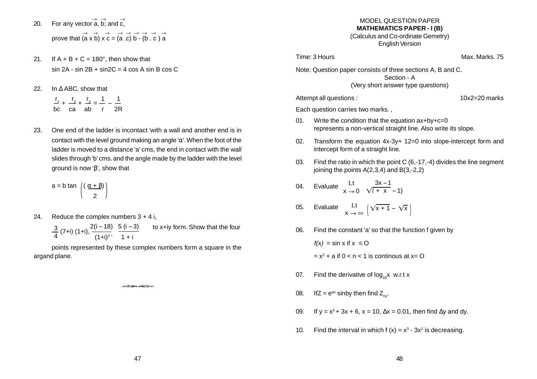- 20. For any vector  $\stackrel{\rightarrow}{a}$ ,  $\stackrel{\rightarrow}{b}$ ; and  $\stackrel{\rightarrow}{c}$ , prove that  $\overrightarrow{a} \times \overrightarrow{b} \times \overrightarrow{c} = (a \cdot c) \overrightarrow{b} - (b \cdot c) \overrightarrow{a}$
- 21. If  $A + B + C = 180^\circ$ , then show that  $sin 2A - sin 2B + sin 2C = 4 cos A sin B cos C$
- 22. In ∆ ABC, show that
	- $r_1$   $r_2$   $r_3$  1 1  $\rightarrow +$   $\rightarrow$   $+$   $\rightarrow$   $\rightarrow$   $\rightarrow$   $-$ <br>bc ca ab r 2R
- 23. One end of the ladder is incontact 'with a wall and another end is in contact with the level ground making an angle ' $\alpha$ '. When the foot of the ladder is moved to a distance 'a' cms, the end in contact with the wall slides through 'b' cms. and the angle made by the ladder with the level ground is now 'β', show that

$$
a = b \tan \left( \frac{(\alpha + \beta)}{2} \right)
$$

24. Reduce the complex numbers  $3 + 4$  i,

 $\frac{3}{4}$  (7+i) (1+i),  $\frac{2(i-18)}{(1+i)^2}$ ,  $\frac{5(i-3)}{1+i}$  to x+iy form. Show that the four

points represented by these complex numbers form a square in the argand plane.

 $\leftrightarrow$ 

### MODEL QUESTION PAPER **MATHEMATICS PAPER - I (B)** (Calculus and Co-ordinate Gemetry) English Version

Time: 3 Hours Max. Marks. 75

Note: Question paper consists of three sections A, B and C. Section - A (Very short answer type questions)

Each question carries two marks. ,

- 01. Write the condition that the equation  $ax+by+c=0$ represents a non-vertical straight line. Also write its slope.
- 02. Transform the equation 4x-3y+ 12=0 into slope-intercept form and intercept form of a straight line.

Attempt all questions : 10x2=20 marks

- 03. Find the ratio in which the point C (6,-17,-4) divides the line segment joining the points A(2,3,4) and B(3,-2,2)
- 04. Evaluate <sup>Lt</sup>  $\mathsf{x} \to 0$ 3x – 1  $\sqrt{l + x} - 1$ )
- 05. Evaluate  $\operatorname{ht} \limits_{\mathsf{X}\ \to\ \infty} \ \left|\sqrt{\mathsf{x}+1} \sqrt{\mathsf{x}}\ \right|$
- 06. Find the constant 'a' so that the function f given by

 $f(x) = \sin x$  if  $x \le 0$ 

 $= x<sup>2</sup> + a$  if  $0 < n < 1$  is continous at  $x = 0$ 

- 07. Find the derivative of  $log_{10}x$  w.r.t x
- 08. If  $Z = e^{ax}$  sinby then find  $Z_{\text{av}}$ .
- 09. If y =  $x^2$  + 3x + 6, x = 10, ∆x = 0.01, then find ∆y and dy.
- 10. Find the interval in which  $f(x) = x^3 3x^2$  is decreasing.